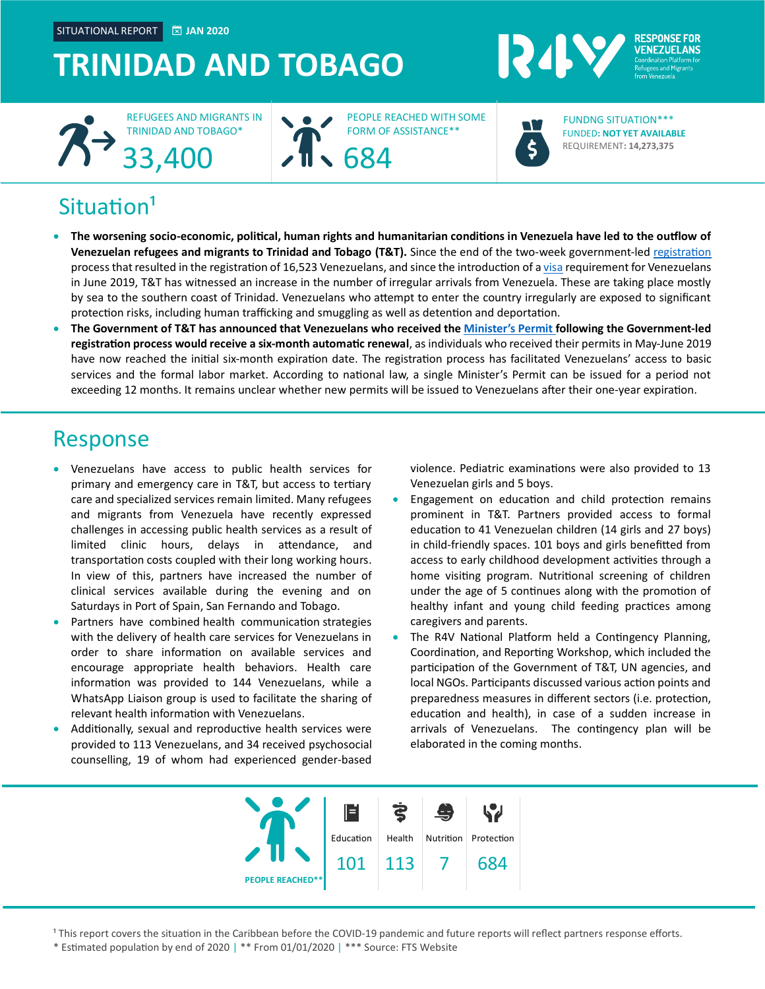SITUATIONAL REPORT **JAN 2020**

#### **TRINIDAD AND TOBAGO** REPORT





PEOPLE REACHED WITH SOME FORM OF ASSISTANCE\*\*



124

FUNDED**: NOT YET AVAILABLE** REQUIREMENT**: 14,273,375** FUNDNG SITUATION\*\*\*

**RESPONSE FOR** 

## Situation<sup>1</sup>

- **The worsening socio-economic, political, human rights and humanitarian conditions in Venezuela have led to the outflow of Venezuelan refugees and migrants to Trinidad and Tobago (T&T).** Since the end of the two-week government-led [registration](http://www.news.gov.tt/content/faq-venezuelan-migrant-registration-process) process that resulted in the registration of 16,523 Venezuelans, and since the introduction of [a visa](https://www.guardian.co.tt/news/visas-for-venezuelans-6.2.863777.9527df11a3) requirement for Venezuelans in June 2019, T&T has witnessed an increase in the number of irregular arrivals from Venezuela. These are taking place mostly by sea to the southern coast of Trinidad. Venezuelans who attempt to enter the country irregularly are exposed to significant protection risks, including human trafficking and smuggling as well as detention and deportation.
- **The Government of T&T has announced that Venezuelans who received the [Minister's Permit](https://www.looptt.com/content/venezuelans-begin-receiving-registration-cards) following the Government-led registration process would receive a six-month automatic renewal**, as individuals who received their permits in May-June 2019 have now reached the initial six-month expiration date. The registration process has facilitated Venezuelans' access to basic services and the formal labor market. According to national law, a single Minister's Permit can be issued for a period not exceeding 12 months. It remains unclear whether new permits will be issued to Venezuelans after their one-year expiration.

### Response

- Venezuelans have access to public health services for primary and emergency care in T&T, but access to tertiary care and specialized services remain limited. Many refugees and migrants from Venezuela have recently expressed challenges in accessing public health services as a result of limited clinic hours, delays in attendance, and transportation costs coupled with their long working hours. In view of this, partners have increased the number of clinical services available during the evening and on Saturdays in Port of Spain, San Fernando and Tobago.
- Partners have combined health communication strategies with the delivery of health care services for Venezuelans in order to share information on available services and encourage appropriate health behaviors. Health care information was provided to 144 Venezuelans, while a WhatsApp Liaison group is used to facilitate the sharing of relevant health information with Venezuelans.
- Additionally, sexual and reproductive health services were provided to 113 Venezuelans, and 34 received psychosocial counselling, 19 of whom had experienced gender-based

violence. Pediatric examinations were also provided to 13 Venezuelan girls and 5 boys.

- Engagement on education and child protection remains prominent in T&T. Partners provided access to formal education to 41 Venezuelan children (14 girls and 27 boys) in child-friendly spaces. 101 boys and girls benefitted from access to early childhood development activities through a home visiting program. Nutritional screening of children under the age of 5 continues along with the promotion of healthy infant and young child feeding practices among caregivers and parents.
- The R4V National Platform held a Contingency Planning, Coordination, and Reporting Workshop, which included the participation of the Government of T&T, UN agencies, and local NGOs. Participants discussed various action points and preparedness measures in different sectors (i.e. protection, education and health), in case of a sudden increase in arrivals of Venezuelans. The contingency plan will be elaborated in the coming months.



<sup>1</sup> This report covers the situation in the Caribbean before the COVID-19 pandemic and future reports will reflect partners response efforts.

\* Estimated population by end of 2020 | \*\* From 01/01/2020 | \*\*\* Source: FTS Website